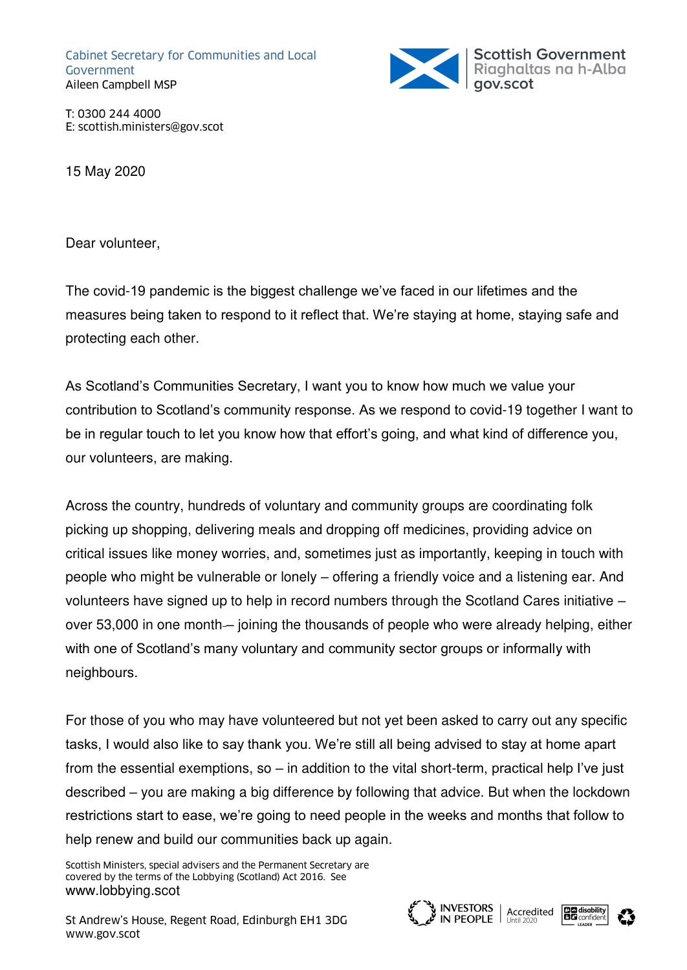Cabinet Secretary for Communities and Local Government Aileen Campbell MSP



T: 0300 244 4000 E: scottish.ministers@gov.scot

15 May 2020

Dear volunteer,

The covid-19 pandemic is the biggest challenge we've faced in our lifetimes and the measures being taken to respond to it reflect that. We're staying at home, staying safe and protecting each other.

As Scotland's Communities Secretary, I want you to know how much we value your contribution to Scotland's community response. As we respond to covid-19 together I want to be in regular touch to let you know how that effort's going, and what kind of difference you, our volunteers, are making.

Across the country, hundreds of voluntary and community groups are coordinating folk picking up shopping, delivering meals and dropping off medicines, providing advice on critical issues like money worries, and, sometimes just as importantly, keeping in touch with people who might be vulnerable or lonely – offering a friendly voice and a listening ear. And volunteers have signed up to help in record numbers through the Scotland Cares initiative – over 53,000 in one month – joining the thousands of people who were already helping, either with one of Scotland's many voluntary and community sector groups or informally with neighbours.

For those of you who may have volunteered but not yet been asked to carry out any specific tasks, I would also like to say thank you. We're still all being advised to stay at home apart from the essential exemptions, so – in addition to the vital short-term, practical help I've just described – you are making a big difference by following that advice. But when the lockdown restrictions start to ease, we're going to need people in the weeks and months that follow to help renew and build our communities back up again.

Scottish Ministers, special advisers and the Permanent Secretary are covered by the terms of the Lobbying (Scotland) Act 2016. See [www.lobbying.scot](http://www.lobbying.scot/)